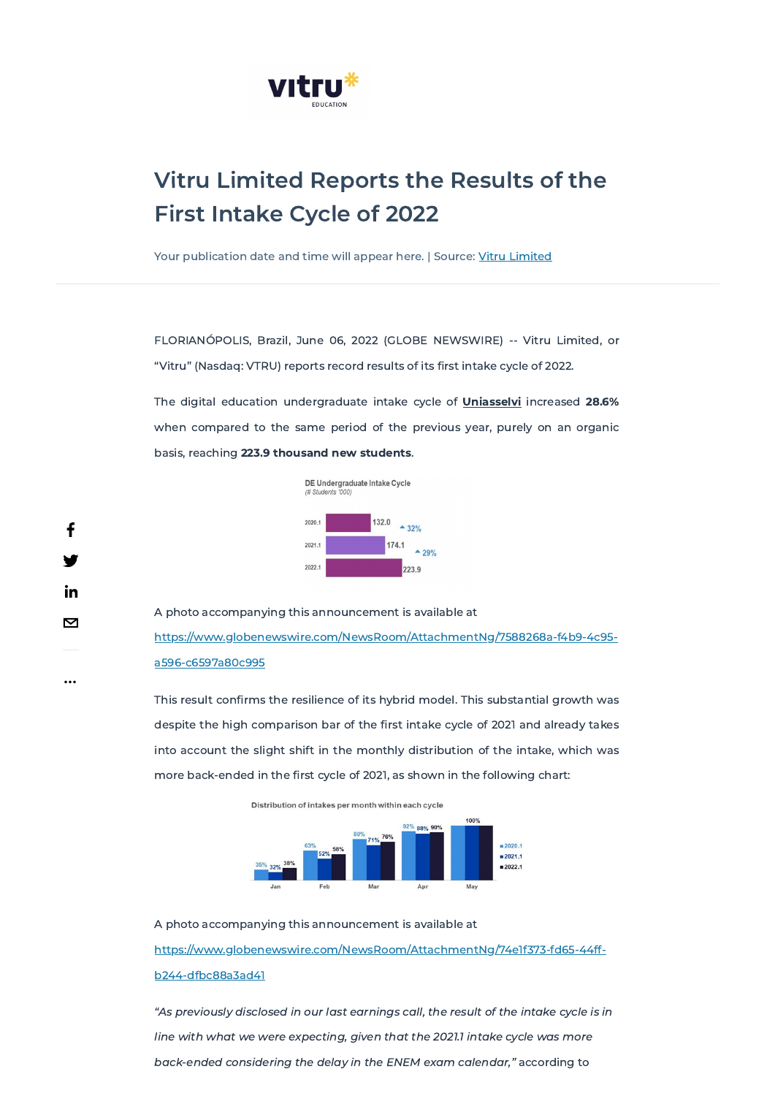

# Vitru Limited Reports the Results of the First Intake Cycle of 2022

Your publication date and time will appear here. | Source: Vitru [Limited](javascript:void(0))

FLORIANÓPOLIS, Brazil, June 06, 2022 (GLOBE NEWSWIRE) -- Vitru Limited, or "Vitru" (Nasdaq: VTRU) reports record results of its first intake cycle of 2022.

The digital education undergraduate intake cycle of **Uniasselvi** increased 28.6% when compared to the same period of the previous year, purely on an organic basis, reaching 223.9 thousand new students.



A photo accompanying this announcement is available at [https://www.globenewswire.com/NewsRoom/AttachmentNg/7588268a-f4b9-4c95](https://www.globenewswire.com/NewsRoom/AttachmentNg/7588268a-f4b9-4c95-a596-c6597a80c995) a596-c6597a80c995

This result confirms the resilience of its hybrid model. This substantial growth was despite the high comparison bar of the first intake cycle of 2021 and already takes into account the slight shift in the monthly distribution of the intake, which was more back-ended in the first cycle of 2021, as shown in the following chart:

Distribution of intakes per month within each cycle



A photo accompanying this announcement is available at

[https://www.globenewswire.com/NewsRoom/AttachmentNg/74e1f373-fd65-44ff-](https://www.globenewswire.com/NewsRoom/AttachmentNg/74e1f373-fd65-44ff-b244-dfbc88a3ad41)

b244-dfbc88a3ad41

"As previously disclosed in our last earnings call, the result of the intake cycle is in

line with what we were expecting, given that the 2021.1 intake cycle was more

back-ended considering the delay in the ENEM exam calendar," according to

...

f

<u>in</u>

 $\boxtimes$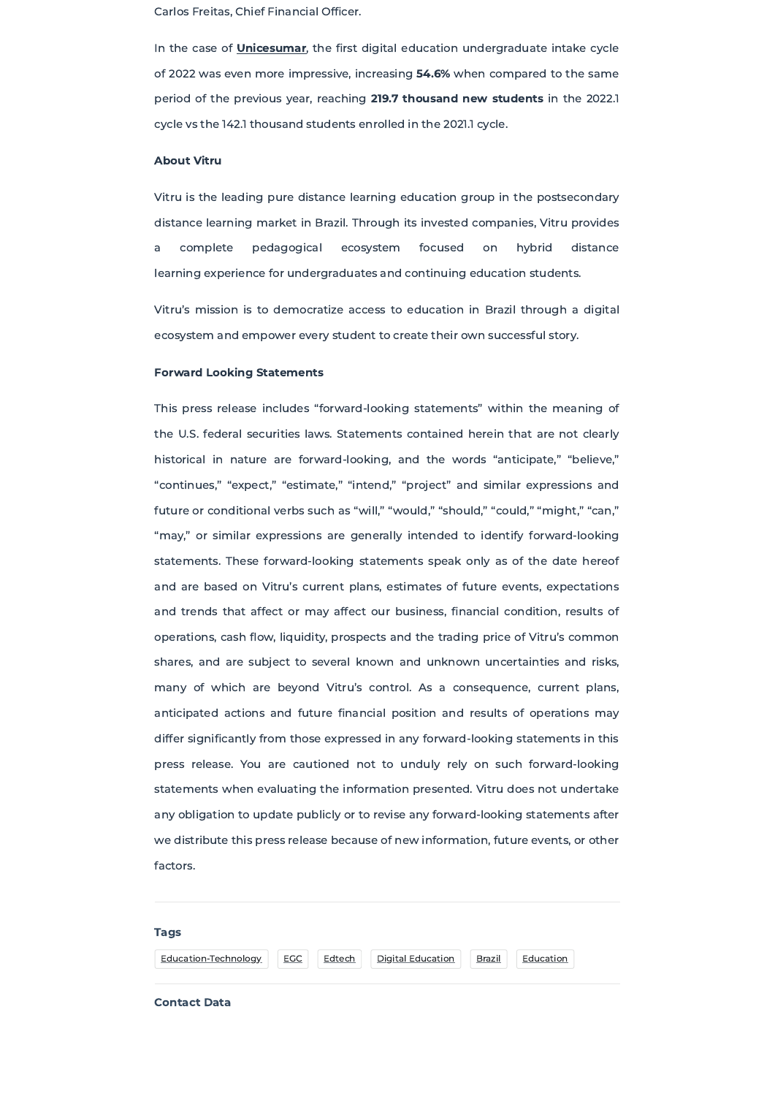## Tags

## Contact Data

Carlos Freitas, Chief Financial Officer.

In the case of **Unicesumar**, the first digital education undergraduate intake cycle of 2022 was even more impressive, increasing 54.6% when compared to the same period of the previous year, reaching 219.7 thousand new students in the 2022.1 cycle vs the 142.1 thousand students enrolled in the 2021.1 cycle.

## About Vitru

Vitru is the leading pure distance learning education group in the postsecondary distance learning market in Brazil. Through its invested companies, Vitru provides a complete pedagogical ecosystem focused on hybrid distance learning experience for undergraduates and continuing education students.

Vitru's mission is to democratize access to education in Brazil through a digital ecosystem and empower every student to create their own successful story.

### Forward Looking Statements

This press release includes "forward-looking statements" within the meaning of the U.S. federal securities laws. Statements contained herein that are not clearly historical in nature are forward-looking, and the words "anticipate," "believe," "continues," "expect," "estimate," "intend," "project" and similar expressions and future or conditional verbs such as "will," "would," "should," "could," "might," "can," "may," or similar expressions are generally intended to identify forward-looking statements. These forward-looking statements speak only as of the date hereof and are based on Vitru's current plans, estimates of future events, expectations and trends that affect or may affect our business, financial condition, results of operations, cash flow, liquidity, prospects and the trading price of Vitru's common shares, and are subject to several known and unknown uncertainties and risks, many of which are beyond Vitru's control. As a consequence, current plans, anticipated actions and future financial position and results of operations may differ significantly from those expressed in any forward-looking statements in this press release. You are cautioned not to unduly rely on such forward-looking statements when evaluating the information presented. Vitru does not undertake any obligation to update publicly or to revise any forward-looking statements after

## we distribute this press release because of new information, future events, or other

factors.